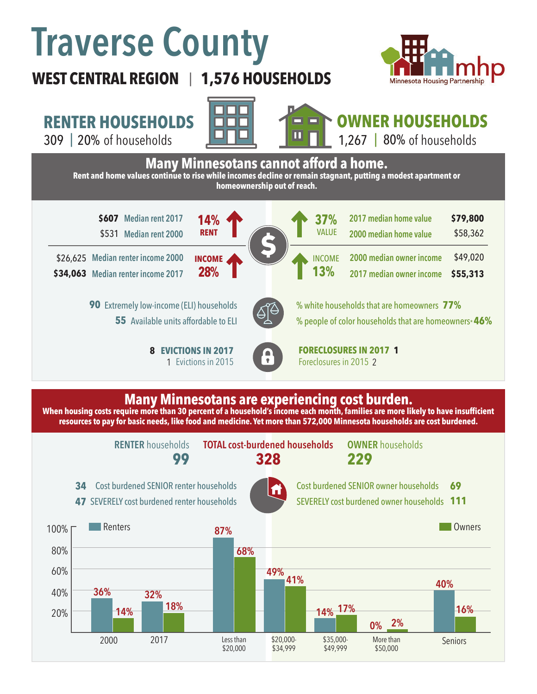# **Traverse County**



# **WEST CENTRAL REGION 1,576 HOUSEHOLDS**  |

# **RENTER HOUSEHOLDS**





#### **OWNER HOUSEHOLDS** 1,267 |  $80\%$  of households



### **Many Minnesotans are experiencing cost burden.**

**When housing costs require more than 30 percent of a household's income each month, families are more likely to have insufficient resources to pay for basic needs, like food and medicine. Yet more than 572,000 Minnesota households are cost burdened.**